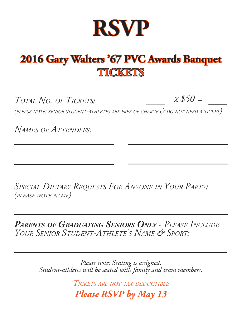

# **2016 Gary Walters '67 PVC Awards Banquet TICKETS**

 $T_{\text{OTAI}}$  *No. of Tickets:*  $X \text{$} 50 =$ 

*(please note: senior student-athletes are free of charge & do not need <sup>a</sup> ticket)*

*Names of Attendees:*

*Special Dietary Requests For Anyone in Your Party: (please note name)*

*Parents of Graduating Seniors Only - Please Include Your Senior Student-Athlete's Name & Sport:*

> *Please note: Seating is assigned. Student-athletes will be seated with family and team members.*

> > *Tickets are not tax-deductible*

*Please RSVP by May 13*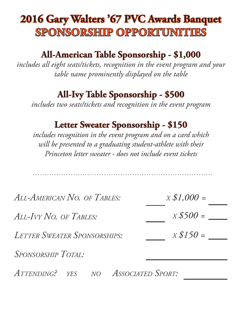# **2016 Gary Walters '67 PVC Awards Banquet SPONSORSHIP OPPORTUNITIES**

### **All-American Table Sponsorship - \$1,000**

*includes all eight seats/tickets, recognition in the event program and your table name prominently displayed on the table*

#### **All-Ivy Table Sponsorship - \$500**

*includes two seats/tickets and recognition in the event program*

#### **Letter Sweater Sponsorship - \$150**

*includes recognition in the event program and on a card which will be presented to a graduating student-athlete with their Princeton letter sweater - does not include event tickets*

| $X $1,000 =$ |
|--------------|
| $X$500 =$    |
| $x $150 =$   |
|              |
|              |

*Attending? yes no Associated Sport:*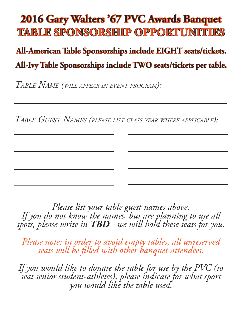## **2016 Gary Walters '67 PVC Awards Banquet TABLE SPONSORSHIP OPPORTUNITIES**

## **All-American Table Sponsorships include EIGHT seats/tickets. All-Ivy Table Sponsorships include TWO seats/tickets per table.**

*Table Name (will appear in event program):*

*Table Guest Names (please list class year where applicable):*

*Please list your table guest names above. If you do not know the names, but are planning to use all spots, please write in TBD - we will hold these seats for you.* 

*Please note: in order to avoid empty tables, all unreserved seats will be filled with other banquet attendees.*

*If you would like to donate the table for use by the PVC (to seat senior student-athletes), please indicate for what sport you would like the table used.*